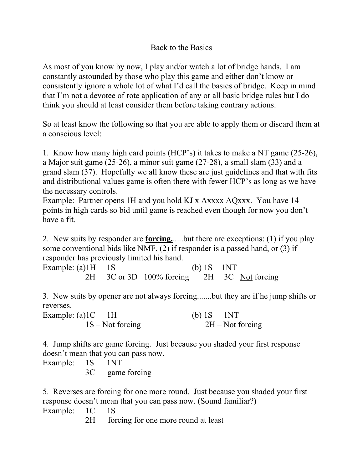## Back to the Basics

As most of you know by now, I play and/or watch a lot of bridge hands. I am constantly astounded by those who play this game and either don't know or consistently ignore a whole lot of what I'd call the basics of bridge. Keep in mind that I'm not a devotee of rote application of any or all basic bridge rules but I do think you should at least consider them before taking contrary actions.

So at least know the following so that you are able to apply them or discard them at a conscious level:

1. Know how many high card points (HCP's) it takes to make a NT game (25-26), a Major suit game (25-26), a minor suit game (27-28), a small slam (33) and a grand slam (37). Hopefully we all know these are just guidelines and that with fits and distributional values game is often there with fewer HCP's as long as we have the necessary controls.

Example: Partner opens 1H and you hold KJ x Axxxx AQxxx. You have 14 points in high cards so bid until game is reached even though for now you don't have a fit.

2. New suits by responder are **forcing.**.....but there are exceptions: (1) if you play some conventional bids like NMF, (2) if responder is a passed hand, or (3) if responder has previously limited his hand.

Example: (a) $1H \t 1S$  (b)  $1S \t 1NT$ 2H 3C or 3D 100% forcing 2H 3C Not forcing

3. New suits by opener are not always forcing.......but they are if he jump shifts or reverses.

| Example: $(a)$ 1C 1H | (b) $1S$ 1NT       |
|----------------------|--------------------|
| $1S - Not forcing$   | $2H - Not forcing$ |

4. Jump shifts are game forcing. Just because you shaded your first response doesn't mean that you can pass now.

Example: 1S 1NT

3C game forcing

5. Reverses are forcing for one more round. Just because you shaded your first response doesn't mean that you can pass now. (Sound familiar?)

Example: 1C 1S

2H forcing for one more round at least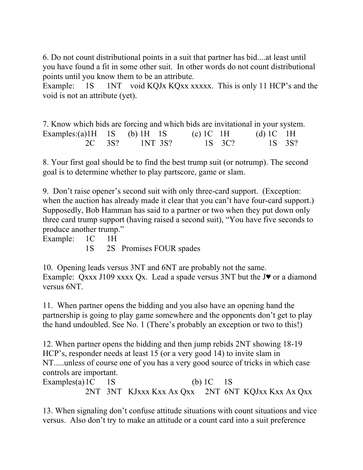6. Do not count distributional points in a suit that partner has bid....at least until you have found a fit in some other suit. In other words do not count distributional points until you know them to be an attribute.

Example: 1S 1NT void KQJx KQxx xxxxx. This is only 11 HCP's and the void is not an attribute (yet).

| 7. Know which bids are forcing and which bids are invitational in your system. |  |                |               |               |  |
|--------------------------------------------------------------------------------|--|----------------|---------------|---------------|--|
| Examples:(a)1H $1S$ (b) 1H $1S$                                                |  |                | $(c)$ 1 C 1 H | (d) $1C$ $1H$ |  |
|                                                                                |  | 2C 3S? 1NT 3S? | 1S 3C?        | 1S 3S?        |  |

8. Your first goal should be to find the best trump suit (or notrump). The second goal is to determine whether to play partscore, game or slam.

9. Don't raise opener's second suit with only three-card support. (Exception: when the auction has already made it clear that you can't have four-card support.) Supposedly, Bob Hamman has said to a partner or two when they put down only three card trump support (having raised a second suit), "You have five seconds to produce another trump."

Example: 1C 1H

1S 2S Promises FOUR spades

10. Opening leads versus 3NT and 6NT are probably not the same. Example: Qxxx J109 xxxx Qx. Lead a spade versus 3NT but the J♥ or a diamond versus 6NT.

11. When partner opens the bidding and you also have an opening hand the partnership is going to play game somewhere and the opponents don't get to play the hand undoubled. See No. 1 (There's probably an exception or two to this!)

12. When partner opens the bidding and then jump rebids 2NT showing 18-19 HCP's, responder needs at least 15 (or a very good 14) to invite slam in NT.....unless of course one of you has a very good source of tricks in which case controls are important.

Examples(a)  $1C$  1S (b)  $1C$  1S 2NT 3NT KJxxx Kxx Ax Qxx 2NT 6NT KQJxx Kxx Ax Qxx

13. When signaling don't confuse attitude situations with count situations and vice versus. Also don't try to make an attitude or a count card into a suit preference